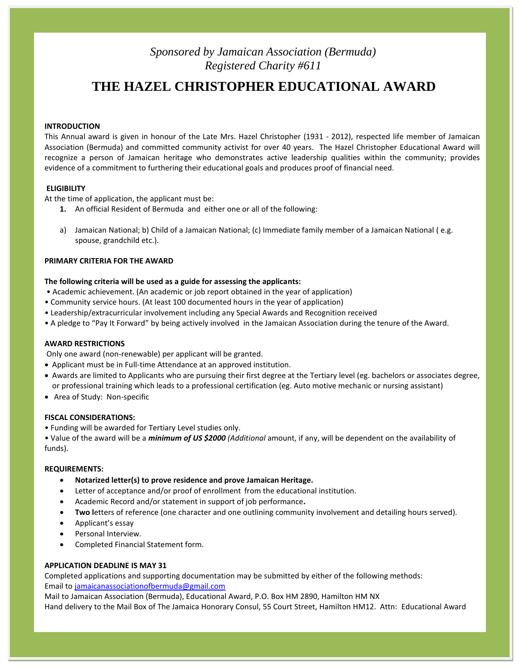# *Sponsored by Jamaican Association (Bermuda) Registered Charity #611*

# **THE HAZEL CHRISTOPHER EDUCATIONAL AWARD**

## **INTRODUCTION**

This Annual award is given in honour of the Late Mrs. Hazel Christopher (1931 - 2012), respected life member of Jamaican Association (Bermuda) and committed community activist for over 40 years. The Hazel Christopher Educational Award will recognize a person of Jamaican heritage who demonstrates active leadership qualities within the community; provides evidence of a commitment to furthering their educational goals and produces proof of financial need.

## **ELIGIBILITY**

At the time of application, the applicant must be:

- **1.** An official Resident of Bermuda and either one or all of the following:
- a) Jamaican National; b) Child of a Jamaican National; (c) Immediate family member of a Jamaican National ( e.g. spouse, grandchild etc.).

## **PRIMARY CRITERIA FOR THE AWARD**

### **The following criteria will be used as a guide for assessing the applicants:**

- Academic achievement. (An academic or job report obtained in the year of application)
- Community service hours. (At least 100 documented hours in the year of application)
- Leadership/extracurricular involvement including any Special Awards and Recognition received
- A pledge to "Pay It Forward" by being actively involved in the Jamaican Association during the tenure of the Award.

#### **AWARD RESTRICTIONS**

Only one award (non-renewable) per applicant will be granted.

- Applicant must be in Full-time Attendance at an approved institution.
- Awards are limited to Applicants who are pursuing their first degree at the Tertiary level (eg. bachelors or associates degree, or professional training which leads to a professional certification (eg. Auto motive mechanic or nursing assistant)
- Area of Study: Non-specific

#### **FISCAL CONSIDERATIONS:**

• Funding will be awarded for Tertiary Level studies only.

• Value of the award will be a *minimum of US \$2000 (Additional* amount, if any, will be dependent on the availability of funds).

#### **REQUIREMENTS:**

- **Notarized letter(s) to prove residence and prove Jamaican Heritage.**
- Letter of acceptance and/or proof of enrollment from the educational institution.
- Academic Record and/or statement in support of job performance**.**
- **Two l**etters of reference (one character and one outlining community involvement and detailing hours served).
- Applicant's essay
- Personal Interview.
- Completed Financial Statement form.

## **APPLICATION DEADLINE IS MAY 31**

Completed applications and supporting documentation may be submitted by either of the following methods: Email to [jamaicanassociationofbermuda@gmail.com](mailto:jamaicanassociationofbermuda@gmail.com)

Mail to Jamaican Association (Bermuda), Educational Award, P.O. Box HM 2890, Hamilton HM NX Hand delivery to the Mail Box of The Jamaica Honorary Consul, 55 Court Street, Hamilton HM12. Attn: Educational Award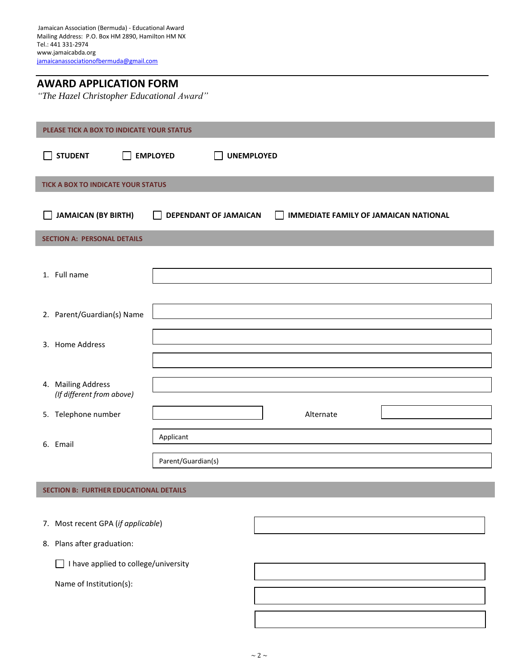| <b>AWARD APPLICATION FORM</b>             |  |
|-------------------------------------------|--|
| "The Hazel Christopher Educational Award" |  |

| PLEASE TICK A BOX TO INDICATE YOUR STATUS       |                                              |                                                    |  |
|-------------------------------------------------|----------------------------------------------|----------------------------------------------------|--|
| <b>STUDENT</b><br>$\blacksquare$                | <b>EMPLOYED</b><br>$\mathbf{I}$              | <b>UNEMPLOYED</b>                                  |  |
| TICK A BOX TO INDICATE YOUR STATUS              |                                              |                                                    |  |
| <b>JAMAICAN (BY BIRTH)</b><br>$\mathcal{L}$     | <b>DEPENDANT OF JAMAICAN</b><br>$\mathbf{I}$ | <b>IMMEDIATE FAMILY OF JAMAICAN NATIONAL</b><br>I. |  |
| <b>SECTION A: PERSONAL DETAILS</b>              |                                              |                                                    |  |
| 1. Full name                                    |                                              |                                                    |  |
| 2. Parent/Guardian(s) Name                      |                                              |                                                    |  |
| 3. Home Address                                 |                                              |                                                    |  |
| 4. Mailing Address<br>(If different from above) |                                              |                                                    |  |
| 5. Telephone number                             |                                              | Alternate                                          |  |
| 6. Email                                        | Applicant                                    |                                                    |  |
|                                                 | Parent/Guardian(s)                           |                                                    |  |

**SECTION B: FURTHER EDUCATIONAL DETAILS**

- 7. Most recent GPA (*if applicable*)
- 8. Plans after graduation:

I have applied to college/university

Name of Institution(s):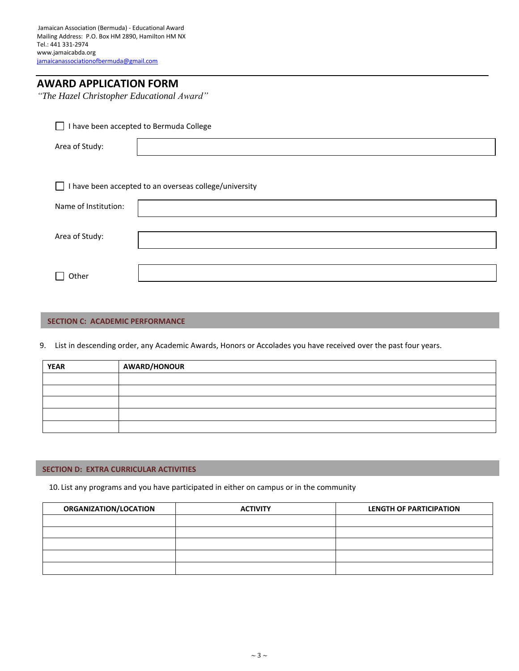*"The Hazel Christopher Educational Award"*

| I have been accepted to Bermuda College              |  |  |
|------------------------------------------------------|--|--|
| Area of Study:                                       |  |  |
|                                                      |  |  |
| have been accepted to an overseas college/university |  |  |
| Name of Institution:                                 |  |  |
| Area of Study:                                       |  |  |
|                                                      |  |  |
| Other                                                |  |  |

## **SECTION C: ACADEMIC PERFORMANCE**

9. List in descending order, any Academic Awards, Honors or Accolades you have received over the past four years.

| <b>YEAR</b> | <b>AWARD/HONOUR</b> |
|-------------|---------------------|
|             |                     |
|             |                     |
|             |                     |
|             |                     |
|             |                     |

## **SECTION D: EXTRA CURRICULAR ACTIVITIES**

10. List any programs and you have participated in either on campus or in the community

| ORGANIZATION/LOCATION | <b>ACTIVITY</b> | LENGTH OF PARTICIPATION |
|-----------------------|-----------------|-------------------------|
|                       |                 |                         |
|                       |                 |                         |
|                       |                 |                         |
|                       |                 |                         |
|                       |                 |                         |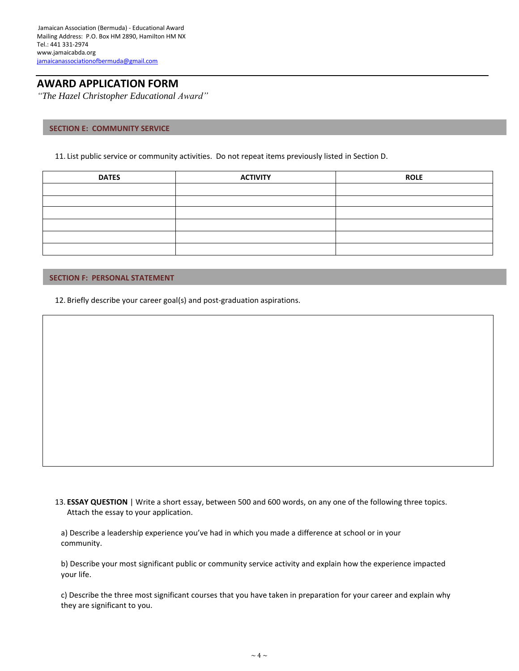*"The Hazel Christopher Educational Award"*

## **SECTION E: COMMUNITY SERVICE**

11. List public service or community activities. Do not repeat items previously listed in Section D.

| <b>DATES</b> | <b>ACTIVITY</b> | <b>ROLE</b> |
|--------------|-----------------|-------------|
|              |                 |             |
|              |                 |             |
|              |                 |             |
|              |                 |             |
|              |                 |             |
|              |                 |             |

## **SECTION F: PERSONAL STATEMENT**

12. Briefly describe your career goal(s) and post-graduation aspirations.

13. **ESSAY QUESTION** | Write a short essay, between 500 and 600 words, on any one of the following three topics. Attach the essay to your application.

a) Describe a leadership experience you've had in which you made a difference at school or in your community.

b) Describe your most significant public or community service activity and explain how the experience impacted your life.

c) Describe the three most significant courses that you have taken in preparation for your career and explain why they are significant to you.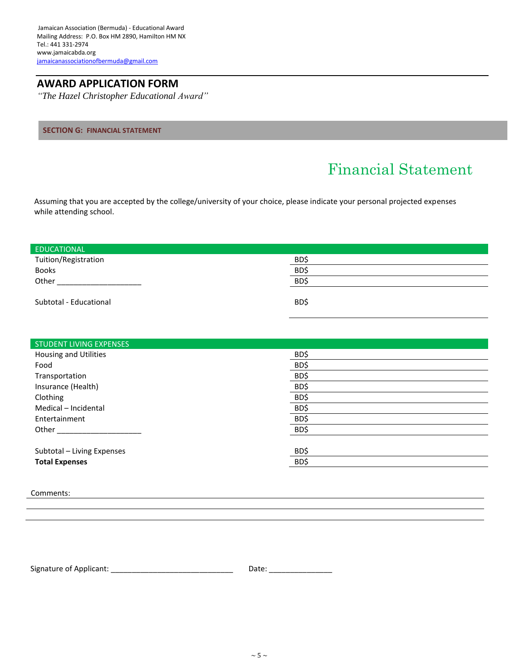*"The Hazel Christopher Educational Award"*

## **SECTION G: FINANCIAL STATEMENT**

# Financial Statement

Assuming that you are accepted by the college/university of your choice, please indicate your personal projected expenses while attending school.

| <b>EDUCATIONAL</b>     |      |
|------------------------|------|
| Tuition/Registration   | BD\$ |
| <b>Books</b>           | BD\$ |
| Other                  | BD\$ |
| Subtotal - Educational | BD\$ |

| <b>STUDENT LIVING EXPENSES</b> |      |
|--------------------------------|------|
| Housing and Utilities          | BD\$ |
| Food                           | BD\$ |
| Transportation                 | BD\$ |
| Insurance (Health)             | BD\$ |
| Clothing                       | BD\$ |
| Medical - Incidental           | BD\$ |
| Entertainment                  | BD\$ |
| Other                          | BD\$ |
|                                |      |
| Subtotal - Living Expenses     | BD\$ |
| <b>Total Expenses</b>          | BD\$ |

Comments:

Signature of Applicant: \_\_\_\_\_\_\_\_\_\_\_\_\_\_\_\_\_\_\_\_\_\_\_\_\_\_\_\_\_ Date: \_\_\_\_\_\_\_\_\_\_\_\_\_\_\_